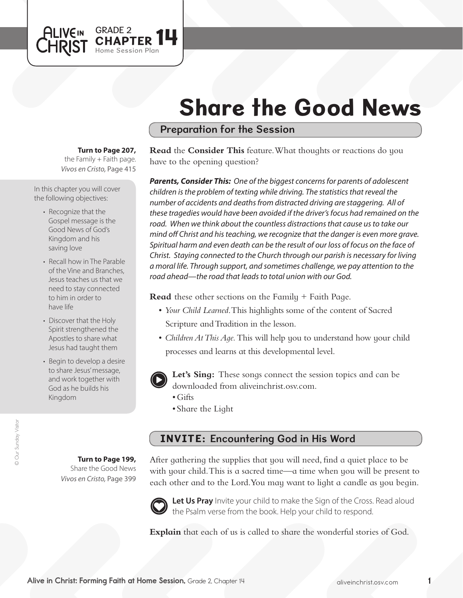# Share the Good News

## Preparation for the Session

### **Turn to Page 207,**

GRADE 2 **14** 

Session Plan

*Vivos en Cristo,* Page 415 the Family  $+$  Faith page.

In this chapter you will cover the following objectives:

**ALIVEIN LHRIST** 

- Recognize that the Gospel message is the Good News of God's Kingdom and his saving love
- Recall how in The Parable of the Vine and Branches, Jesus teaches us that we need to stay connected to him in order to have life
- Discover that the Holy Spirit strengthened the Apostles to share what Jesus had taught them
- Begin to develop a desire to share Jesus' message, and work together with God as he builds his Kingdom

**Read** the **Consider This** feature. What thoughts or reactions do you have to the opening question?

*Parents, Consider This: One of the biggest concerns for parents of adolescent children is the problem of texting while driving. The statistics that reveal the number of accidents and deaths from distracted driving are staggering. All of these tragedies would have been avoided if the driver's focus had remained on the*  road. When we think about the countless distractions that cause us to take our *mind off Christ and his teaching, we recognize that the danger is even more grave. Spiritual harm and even death can be the result of our loss of focus on the face of Christ. Staying connected to the Church through our parish is necessary for living a moral life. Through support, and sometimes challenge, we pay attention to the road ahead—the road that leads to total union with our God.* 

**Read** these other sections on the Family + Faith Page.

- • *Your Child Learned*. This highlights some of the content of Sacred Scripture and Tradition in the lesson.
- *Children At This Aqe*. This will help you to understand how your child processes and learns at this developmental level.



**Let's Sing:** These songs connect the session topics and can be downloaded from aliveinchrist.osv.com.

- Gifts
- Share the Light

# INVITE: Encountering God in His Word

**Turn to Page 199,** Share the Good News *Vivos en Cristo,* Page 399

After gathering the supplies that you will need, find a quiet place to be with your child. This is a sacred time—a time when you will be present to each other and to the Lord.You may want to light a candle as you begin.



Let Us Pray Invite your child to make the Sign of the Cross. Read aloud the Psalm verse from the book. Help your child to respond.

**Explain** that each of us is called to share the wonderful stories of God.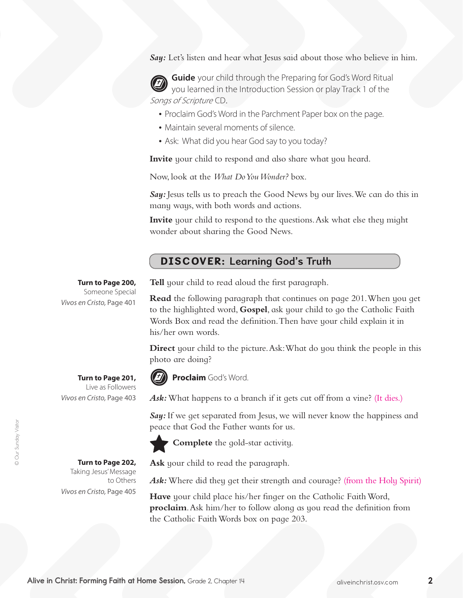Say: Let's listen and hear what Jesus said about those who believe in him.

**Guide** your child through the Preparing for God's Word Ritual you learned in the Introduction Session or play Track 1 of the Songs of Scripture CD.

- Proclaim God's Word in the Parchment Paper box on the page.
- Maintain several moments of silence.
- Ask: What did you hear God say to you today?

**Invite** your child to respond and also share what you heard.

Now, look at the *What Do You Wonder?* box.

*Say:* Jesus tells us to preach the Good News by our lives.We can do this in many ways, with both words and actions.

**Invite** your child to respond to the questions. Ask what else they might wonder about sharing the Good News.

## DISCOVER: Learning God's Truth

#### **Turn to Page 200,**

Someone Special *Vivos en Cristo,* Page 401

**Tell** your child to read aloud the first paragraph.

**Read** the following paragraph that continues on page 201. When you get to the highlighted word, **Gospel**, ask your child to go the Catholic Faith Words Box and read the definition. Then have your child explain it in his/her own words.

**Direct** your child to the picture. Ask: What do you think the people in this photo are doing?



**Proclaim** God's Word.

Ask: What happens to a branch if it gets cut off from a vine? (It dies.)

*Say*: If we get separated from Jesus, we will never know the happiness and peace that God the Father wants for us.



**Complete** the gold-star activity.

**Ask** your child to read the paragraph.

Ask: Where did they get their strength and courage? (from the Holy Spirit)

**Have** your child place his/her finger on the Catholic Faith Word, **proclaim**. Ask him/her to follow along as you read the definition from the Catholic Faith Words box on page 203.

**Turn to Page 201,**  Live as Followers *Vivos en Cristo,* Page 403

> **Turn to Page 202,** Taking Jesus'Message

*Vivos en Cristo,* Page 405

to Others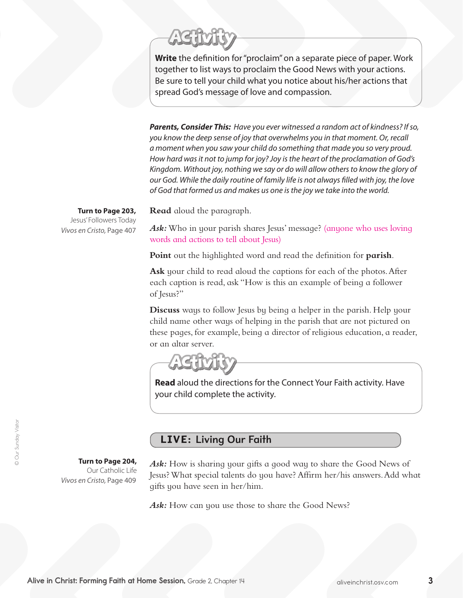

**Write** the definition for "proclaim" on a separate piece of paper. Work together to list ways to proclaim the Good News with your actions. Be sure to tell your child what you notice about his/her actions that spread God's message of love and compassion.

*Parents, Consider This: Have you ever witnessed a random act of kindness? If so, you know the deep sense of joy that overwhelms you in that moment. Or, recall a moment when you saw your child do something that made you so very proud. How hard was it not to jump for joy? Joy is the heart of the proclamation of God's Kingdom. Without joy, nothing we say or do will allow others to know the glory of our God. While the daily routine of family life is not always filled with joy, the love of God that formed us and makes us one is the joy we take into the world.* 

**Read** aloud the paragraph.

**Turn to Page 203,** Jesus' Followers Today *Vivos en Cristo,* Page 407

Ask: Who in your parish shares Jesus' message? (anyone who uses loving words and actions to tell about Jesus)

**Point** out the highlighted word and read the definition for **parish**.

**Ask** your child to read aloud the captions for each of the photos. After each caption is read, ask "How is this an example of being a follower of Jesus?"

**Discuss** ways to follow Jesus by being a helper in the parish. Help your child name other ways of helping in the parish that are not pictured on these pages, for example, being a director of religious education, a reader, or an altar server.

**Read** aloud the directions for the Connect Your Faith activity. Have your child complete the activity.

## LIVE: Living Our Faith

**Turn to Page 204,** 

Our Catholic Life *Vivos en Cristo,* Page 409

*Ask:* How is sharing your gifts a good way to share the Good News of Jesus?What special talents do you have? Affirm her/his answers.Add what gifts you have seen in her/him.

Ask: How can you use those to share the Good News?